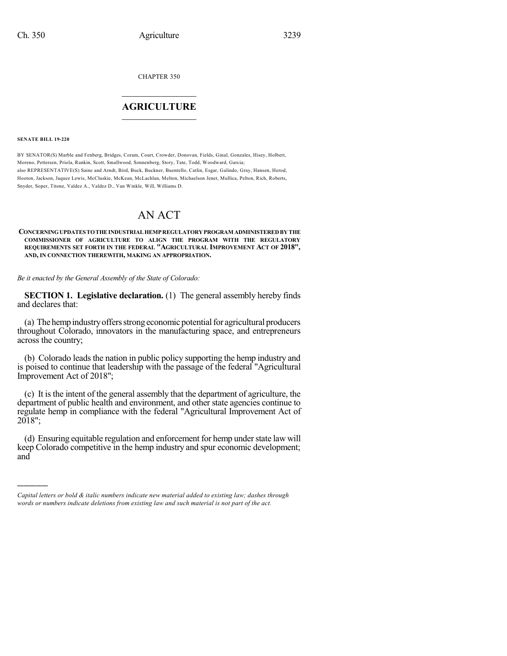CHAPTER 350

## $\mathcal{L}_\text{max}$  . The set of the set of the set of the set of the set of the set of the set of the set of the set of the set of the set of the set of the set of the set of the set of the set of the set of the set of the set **AGRICULTURE**  $\_$   $\_$   $\_$   $\_$   $\_$   $\_$   $\_$   $\_$

#### **SENATE BILL 19-220**

)))))

BY SENATOR(S) Marble and Fenberg, Bridges, Coram, Court, Crowder, Donovan, Fields, Ginal, Gonzales, Hisey, Holbert, Moreno, Pettersen, Priola, Rankin, Scott, Smallwood, Sonnenberg, Story, Tate, Todd, Woodward, Garcia; also REPRESENTATIVE(S) Saine and Arndt, Bird, Buck, Buckner, Buentello, Catlin, Esgar, Galindo, Gray, Hansen, Herod, Hooton, Jackson, Jaquez Lewis, McCluskie, McKean, McLachlan, Melton, Michaelson Jenet, Mullica, Pelton, Rich, Roberts, Snyder, Soper, Titone, Valdez A., Valdez D., Van Winkle, Will, Williams D.

# AN ACT

### **CONCERNINGUPDATES TOTHEINDUSTRIALHEMPREGULATORYPROGRAM ADMINISTEREDBY THE COMMISSIONER OF AGRICULTURE TO ALIGN THE PROGRAM WITH THE REGULATORY REQUIREMENTS SET FORTH IN THE FEDERAL "AGRICULTURAL IMPROVEMENT ACT OF 2018", AND, IN CONNECTION THEREWITH, MAKING AN APPROPRIATION.**

*Be it enacted by the General Assembly of the State of Colorado:*

**SECTION 1. Legislative declaration.** (1) The general assembly hereby finds and declares that:

(a) Thehempindustryoffersstrong economic potentialfor agricultural producers throughout Colorado, innovators in the manufacturing space, and entrepreneurs across the country;

(b) Colorado leads the nation in public policy supporting the hemp industry and is poised to continue that leadership with the passage of the federal "Agricultural Improvement Act of 2018";

(c) It is the intent of the general assembly that the department of agriculture, the department of public health and environment, and other state agencies continue to regulate hemp in compliance with the federal "Agricultural Improvement Act of 2018";

(d) Ensuring equitable regulation and enforcement for hemp understate law will keep Colorado competitive in the hemp industry and spur economic development; and

*Capital letters or bold & italic numbers indicate new material added to existing law; dashes through words or numbers indicate deletions from existing law and such material is not part of the act.*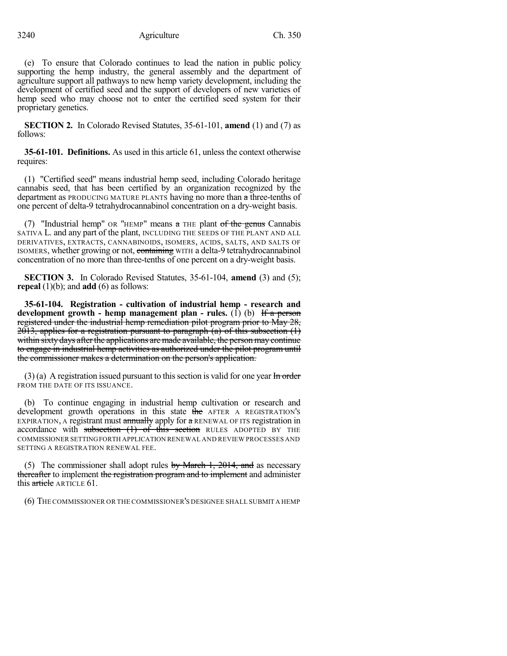(e) To ensure that Colorado continues to lead the nation in public policy supporting the hemp industry, the general assembly and the department of agriculture support all pathways to new hemp variety development, including the development of certified seed and the support of developers of new varieties of hemp seed who may choose not to enter the certified seed system for their proprietary genetics.

**SECTION 2.** In Colorado Revised Statutes, 35-61-101, **amend** (1) and (7) as follows:

**35-61-101. Definitions.** As used in this article 61, unless the context otherwise requires:

(1) "Certified seed" means industrial hemp seed, including Colorado heritage cannabis seed, that has been certified by an organization recognized by the department as PRODUCING MATURE PLANTS having no more than a three-tenths of one percent of delta-9 tetrahydrocannabinol concentration on a dry-weight basis.

(7) "Industrial hemp" OR "HEMP" means  $a$  THE plant of the genus Cannabis SATIVA L. and any part of the plant, INCLUDING THE SEEDS OF THE PLANT AND ALL DERIVATIVES, EXTRACTS, CANNABINOIDS, ISOMERS, ACIDS, SALTS, AND SALTS OF ISOMERS, whether growing or not, containing WITH a delta-9 tetrahydrocannabinol concentration of no more than three-tenths of one percent on a dry-weight basis.

**SECTION 3.** In Colorado Revised Statutes, 35-61-104, **amend** (3) and (5); **repeal** (1)(b); and **add** (6) as follows:

**35-61-104. Registration - cultivation of industrial hemp - research and development growth - hemp management plan - rules.** (1) (b) If a person registered under the industrial hemp remediation pilot program prior to May 28,  $2013$ , applies for a registration pursuant to paragraph (a) of this subsection  $(1)$ within sixty days after the applications are made available, the person may continue to engage in industrial hemp activities as authorized under the pilot program until the commissioner makes a determination on the person's application.

 $(3)$  (a) A registration issued pursuant to this section is valid for one year In order FROM THE DATE OF ITS ISSUANCE.

(b) To continue engaging in industrial hemp cultivation or research and development growth operations in this state the AFTER A REGISTRATION's EXPIRATION, A registrant must annually apply for a RENEWAL OF ITS registration in accordance with subsection  $(1)$  of this section RULES ADOPTED BY THE COMMISSIONER SETTINGFORTH APPLICATION RENEWAL AND REVIEW PROCESSES AND SETTING A REGISTRATION RENEWAL FEE.

(5) The commissioner shall adopt rules by March 1, 2014, and as necessary thereafter to implement the registration program and to implement and administer this article ARTICLE 61.

(6) THE COMMISSIONER OR THE COMMISSIONER'S DESIGNEE SHALL SUBMIT A HEMP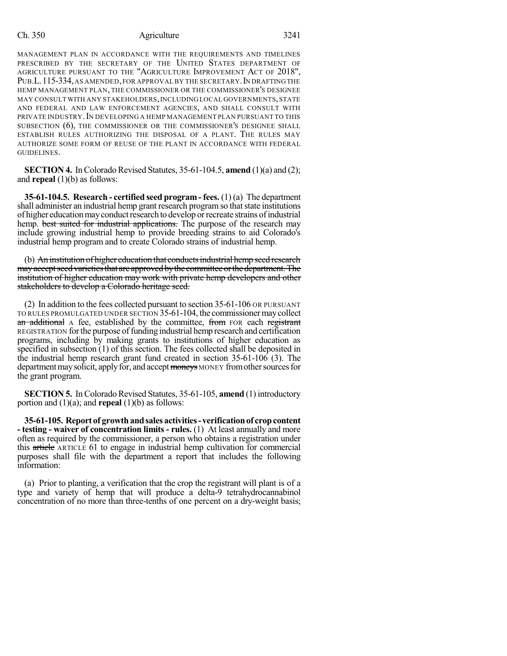### Ch. 350 Agriculture 3241

MANAGEMENT PLAN IN ACCORDANCE WITH THE REQUIREMENTS AND TIMELINES PRESCRIBED BY THE SECRETARY OF THE UNITED STATES DEPARTMENT OF AGRICULTURE PURSUANT TO THE "AGRICULTURE IMPROVEMENT ACT OF 2018", PUB.L. 115-334, AS AMENDED, FOR APPROVAL BY THE SECRETARY. IN DRAFTING THE HEMP MANAGEMENT PLAN, THE COMMISSIONER OR THE COMMISSIONER'S DESIGNEE MAY CONSULT WITH ANY STAKEHOLDERS, INCLUDING LOCAL GOVERNMENTS, STATE AND FEDERAL AND LAW ENFORCEMENT AGENCIES, AND SHALL CONSULT WITH PRIVATE INDUSTRY. IN DEVELOPING A HEMP MANAGEMENT PLAN PURSUANT TO THIS SUBSECTION (6), THE COMMISSIONER OR THE COMMISSIONER'S DESIGNEE SHALL ESTABLISH RULES AUTHORIZING THE DISPOSAL OF A PLANT. THE RULES MAY AUTHORIZE SOME FORM OF REUSE OF THE PLANT IN ACCORDANCE WITH FEDERAL GUIDELINES.

**SECTION 4.** In Colorado Revised Statutes,  $35-61-104.5$ , **amend** (1)(a) and (2); and **repeal** (1)(b) as follows:

**35-61-104.5. Research - certified seed program - fees.** (1) (a) The department shall administer an industrial hemp grant research program so that state institutions of higher education may conduct research to develop or recreate strains of industrial hemp. best suited for industrial applications. The purpose of the research may include growing industrial hemp to provide breeding strains to aid Colorado's industrial hemp program and to create Colorado strains of industrial hemp.

(b) An institution of higher education that conducts industrial hemp seed research may accept seed varieties that are approved by the committee or the department. The institution of higher education may work with private hemp developers and other stakeholders to develop a Colorado heritage seed.

(2) In addition to the fees collected pursuant to section 35-61-106 OR PURSUANT TO RULES PROMULGATED UNDER SECTION 35-61-104, the commissionermaycollect an additional A fee, established by the committee, from FOR each registrant REGISTRATION for the purpose of funding industrial hemp research and certification programs, including by making grants to institutions of higher education as specified in subsection (1) of this section. The fees collected shall be deposited in the industrial hemp research grant fund created in section 35-61-106 (3). The department may solicit, apply for, and accept moneys MONEY from other sources for the grant program.

**SECTION 5.** In Colorado Revised Statutes, 35-61-105, **amend** (1) introductory portion and (1)(a); and **repeal** (1)(b) as follows:

**35-61-105. Report of growthandsales activities-verificationof cropcontent - testing - waiver of concentration limits - rules.** (1) At least annually and more often as required by the commissioner, a person who obtains a registration under this article ARTICLE 61 to engage in industrial hemp cultivation for commercial purposes shall file with the department a report that includes the following information:

(a) Prior to planting, a verification that the crop the registrant will plant is of a type and variety of hemp that will produce a delta-9 tetrahydrocannabinol concentration of no more than three-tenths of one percent on a dry-weight basis;